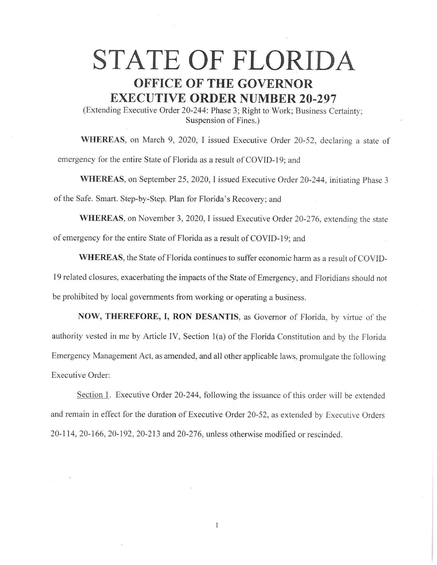## **STATE OF FLORIDA OFFICE OF THE GOVERNOR EXECUTIVE ORDER NUMBER 20-297**

(Extending Executive Order 20-244: Phase 3; Right to Work; Business Certainty; Suspension of Fines.)

**WHEREAS,** on March 9, 2020, I issued Executive Order 20-52, declaring a state of emergency for the entire State of Florida as a result of COVID-19; and

**WHEREAS,** on September 25, 2020, I issued Executive Order 20-244, initiating Phase 3 of the Safe. Smart. Step-by-Step. Plan for Florida's Recovery; and

**WHEREAS,** on November 3, 2020, I issued Executive Order 20-276, extending the state of emergency for the entire State of Florida as a result of COVID-19; and

**WHEREAS,** the State of Florida continues to suffer economic harm as a result of COVID-19 related closures, exacerbating the impacts of the State of Emergency, and Floridians should not be prohibited by local governments from working or operating a business.

**NOW, THEREFORE, I, RON DESANTIS,** as Governor of Florida, by virtue of the authority vested in me by Article IV, Section 1(a) of the Florida Constitution and by the Florida Emergency Management Act, as amended, and all other applicable laws, promulgate the following Executive Order:

Section 1. Executive Order 20-244, following the issuance of this order will be extended and remain in effect for the duration of Executive Order 20-52, as extended by Executive Orders 20-114, 20-166, 20-192, 20-213 and 20-276, unless otherwise modified or rescinded.

1